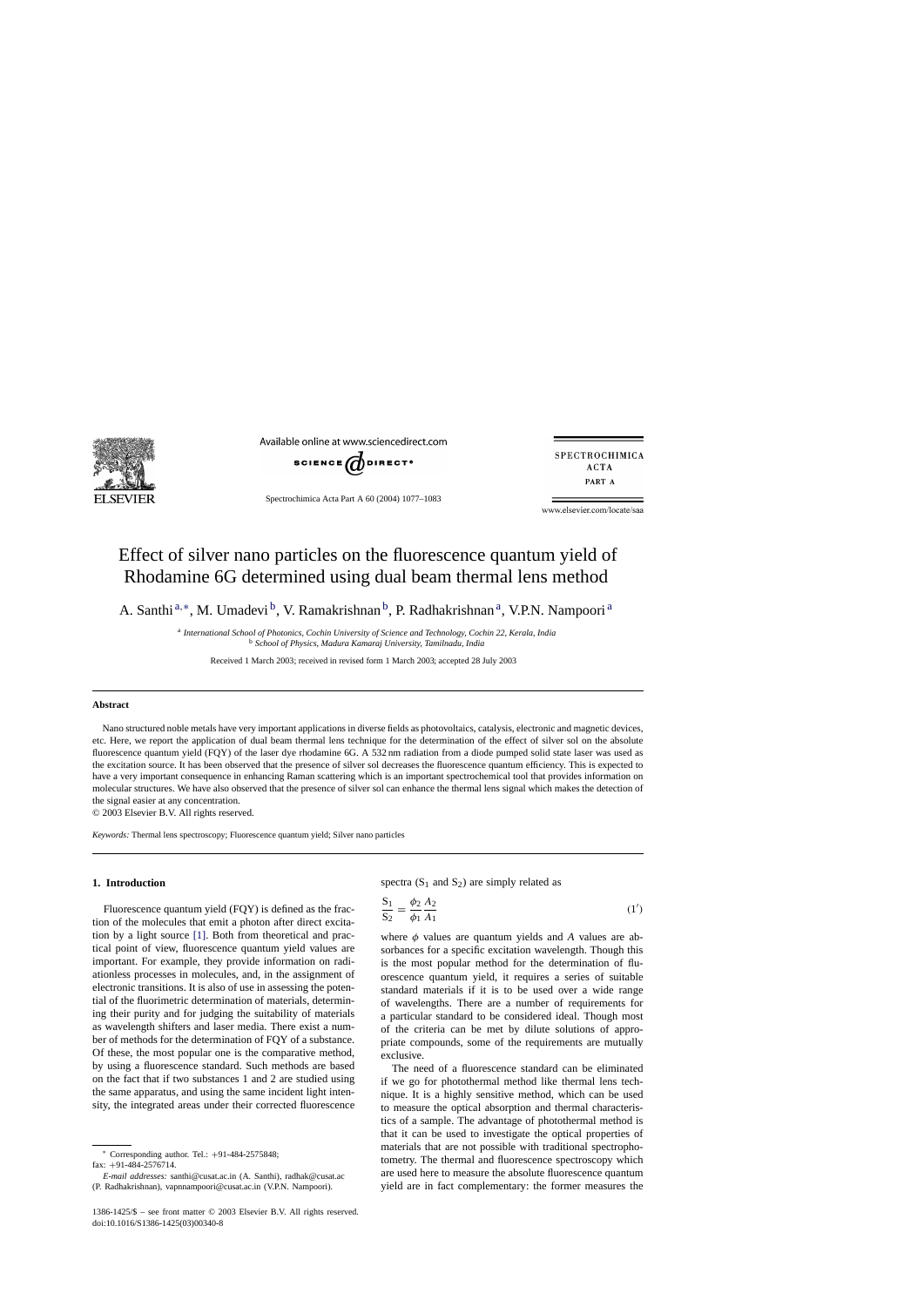

Available online at www.sciencedirect.com



Spectrochimica Acta Part A 60 (2004) 1077–1083

**SPECTROCHIMICA ACTA** PART A

www.elsevier.com/locate/saa

# Effect of silver nano particles on the fluorescence quantum yield of Rhodamine 6G determined using dual beam thermal lens method

A. Santhi<sup>a,∗</sup>, M. Umadevi<sup>b</sup>, V. Ramakrishnan<sup>b</sup>, P. Radhakrishnan<sup>a</sup>, V.P.N. Nampoori<sup>a</sup>

<sup>a</sup> *International School of Photonics, Cochin University of Science and Technology, Cochin 22, Kerala, India* <sup>b</sup> *School of Physics, Madura Kamaraj University, Tamilnadu, India*

Received 1 March 2003; received in revised form 1 March 2003; accepted 28 July 2003

## **Abstract**

Nano structured noble metals have very important applications in diverse fields as photovoltaics, catalysis, electronic and magnetic devices, etc. Here, we report the application of dual beam thermal lens technique for the determination of the effect of silver sol on the absolute fluorescence quantum yield (FQY) of the laser dye rhodamine 6G. A 532 nm radiation from a diode pumped solid state laser was used as the excitation source. It has been observed that the presence of silver sol decreases the fluorescence quantum efficiency. This is expected to have a very important consequence in enhancing Raman scattering which is an important spectrochemical tool that provides information on molecular structures. We have also observed that the presence of silver sol can enhance the thermal lens signal which makes the detection of the signal easier at any concentration.

© 2003 Elsevier B.V. All rights reserved.

*Keywords:* Thermal lens spectroscopy; Fluorescence quantum yield; Silver nano particles

# **1. Introduction**

Fluorescence quantum yield (FQY) is defined as the fraction of the molecules that emit a photon after direct excitation by a light source [\[1\].](#page-6-0) Both from theoretical and practical point of view, fluorescence quantum yield values are important. For example, they provide information on radiationless processes in molecules, and, in the assignment of electronic transitions. It is also of use in assessing the potential of the fluorimetric determination of materials, determining their purity and for judging the suitability of materials as wavelength shifters and laser media. There exist a number of methods for the determination of FQY of a substance. Of these, the most popular one is the comparative method, by using a fluorescence standard. Such methods are based on the fact that if two substances 1 and 2 are studied using the same apparatus, and using the same incident light intensity, the integrated areas under their corrected fluorescence

*E-mail addresses:* santhi@cusat.ac.in (A. Santhi), radhak@cusat.ac (P. Radhakrishnan), vapnnampoori@cusat.ac.in (V.P.N. Nampoori).

spectra  $(S_1$  and  $S_2$ ) are simply related as

$$
\frac{S_1}{S_2} = \frac{\phi_2}{\phi_1} \frac{A_2}{A_1} \tag{1'}
$$

where  $\phi$  values are quantum yields and *A* values are absorbances for a specific excitation wavelength. Though this is the most popular method for the determination of fluorescence quantum yield, it requires a series of suitable standard materials if it is to be used over a wide range of wavelengths. There are a number of requirements for a particular standard to be considered ideal. Though most of the criteria can be met by dilute solutions of appropriate compounds, some of the requirements are mutually exclusive.

The need of a fluorescence standard can be eliminated if we go for photothermal method like thermal lens technique. It is a highly sensitive method, which can be used to measure the optical absorption and thermal characteristics of a sample. The advantage of photothermal method is that it can be used to investigate the optical properties of materials that are not possible with traditional spectrophotometry. The thermal and fluorescence spectroscopy which are used here to measure the absolute fluorescence quantum yield are in fact complementary: the former measures the

<sup>∗</sup> Corresponding author. Tel.: +91-484-2575848; fax: +91-484-2576714.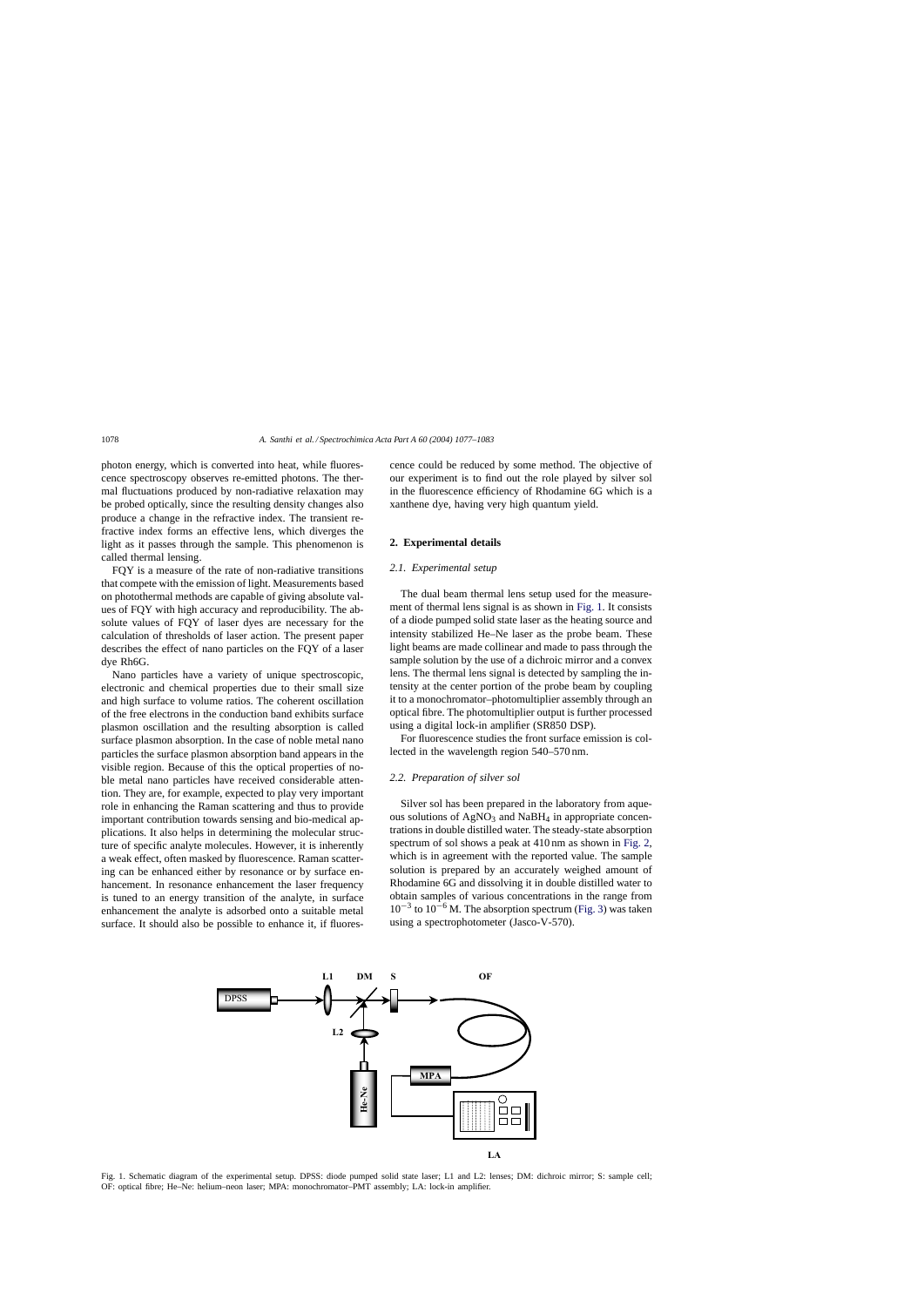photon energy, which is converted into heat, while fluorescence spectroscopy observes re-emitted photons. The thermal fluctuations produced by non-radiative relaxation may be probed optically, since the resulting density changes also produce a change in the refractive index. The transient refractive index forms an effective lens, which diverges the light as it passes through the sample. This phenomenon is called thermal lensing.

FQY is a measure of the rate of non-radiative transitions that compete with the emission of light. Measurements based on photothermal methods are capable of giving absolute values of FQY with high accuracy and reproducibility. The absolute values of FQY of laser dyes are necessary for the calculation of thresholds of laser action. The present paper describes the effect of nano particles on the FQY of a laser dye Rh6G.

Nano particles have a variety of unique spectroscopic, electronic and chemical properties due to their small size and high surface to volume ratios. The coherent oscillation of the free electrons in the conduction band exhibits surface plasmon oscillation and the resulting absorption is called surface plasmon absorption. In the case of noble metal nano particles the surface plasmon absorption band appears in the visible region. Because of this the optical properties of noble metal nano particles have received considerable attention. They are, for example, expected to play very important role in enhancing the Raman scattering and thus to provide important contribution towards sensing and bio-medical applications. It also helps in determining the molecular structure of specific analyte molecules. However, it is inherently a weak effect, often masked by fluorescence. Raman scattering can be enhanced either by resonance or by surface enhancement. In resonance enhancement the laser frequency is tuned to an energy transition of the analyte, in surface enhancement the analyte is adsorbed onto a suitable metal surface. It should also be possible to enhance it, if fluorescence could be reduced by some method. The objective of our experiment is to find out the role played by silver sol in the fluorescence efficiency of Rhodamine 6G which is a xanthene dye, having very high quantum yield.

## **2. Experimental details**

# *2.1. Experimental setup*

The dual beam thermal lens setup used for the measurement of thermal lens signal is as shown in Fig. 1. It consists of a diode pumped solid state laser as the heating source and intensity stabilized He–Ne laser as the probe beam. These light beams are made collinear and made to pass through the sample solution by the use of a dichroic mirror and a convex lens. The thermal lens signal is detected by sampling the intensity at the center portion of the probe beam by coupling it to a monochromator–photomultiplier assembly through an optical fibre. The photomultiplier output is further processed using a digital lock-in amplifier (SR850 DSP).

For fluorescence studies the front surface emission is collected in the wavelength region 540–570 nm.

## *2.2. Preparation of silver sol*

Silver sol has been prepared in the laboratory from aqueous solutions of  $AgNO<sub>3</sub>$  and NaBH<sub>4</sub> in appropriate concentrations in double distilled water. The steady-state absorption spectrum of sol shows a peak at 410 nm as shown in [Fig. 2,](#page-2-0) which is in agreement with the reported value. The sample solution is prepared by an accurately weighed amount of Rhodamine 6G and dissolving it in double distilled water to obtain samples of various concentrations in the range from  $10^{-3}$  to  $10^{-6}$  M. The absorption spectrum [\(Fig. 3\) w](#page-2-0)as taken using a spectrophotometer (Jasco-V-570).



Fig. 1. Schematic diagram of the experimental setup. DPSS: diode pumped solid state laser; L1 and L2: lenses; DM: dichroic mirror; S: sample cell; OF: optical fibre; He–Ne: helium–neon laser; MPA: monochromator–PMT assembly; LA: lock-in amplifier.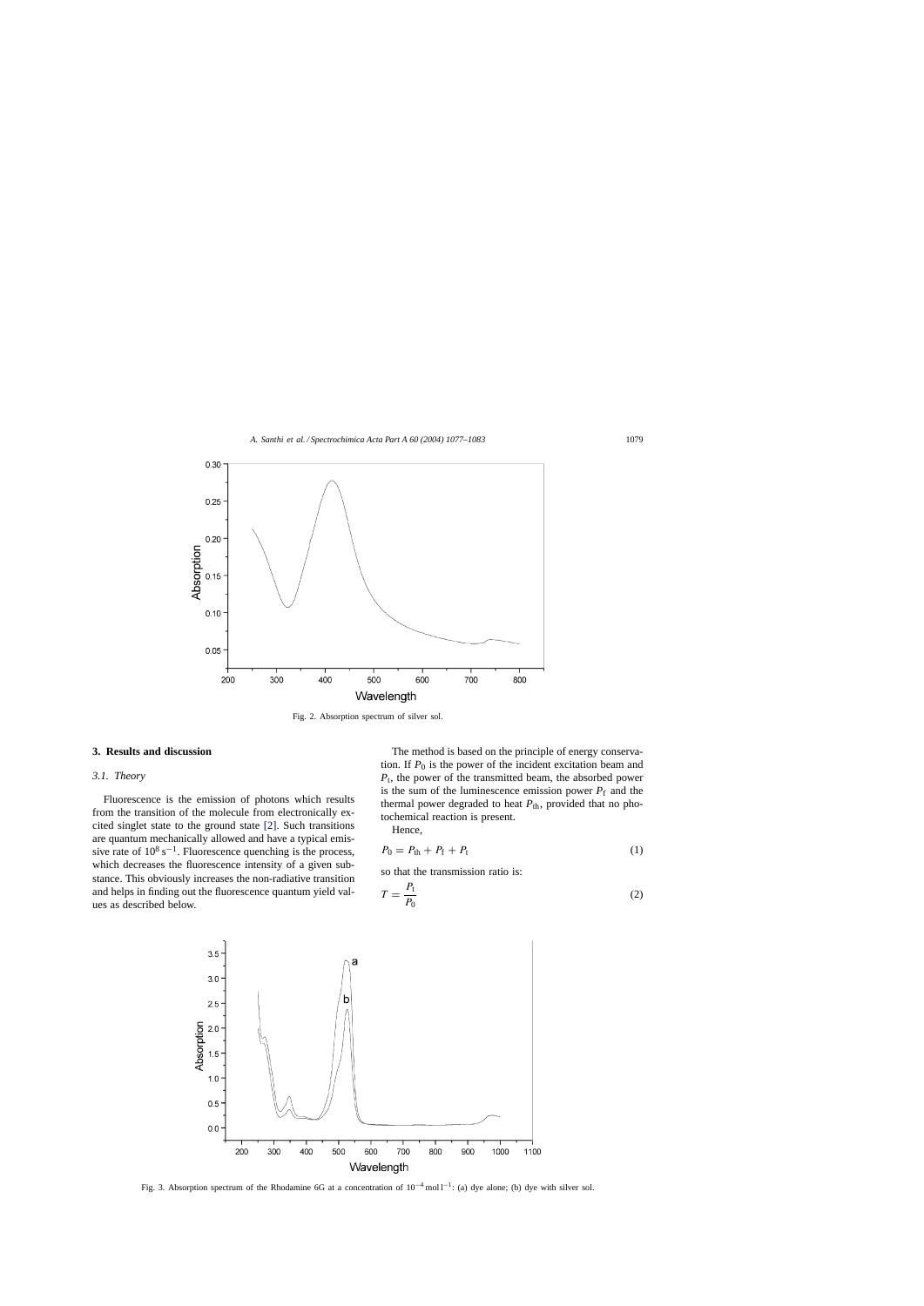<span id="page-2-0"></span>

Fig. 2. Absorption spectrum of silver sol.

# **3. Results and discussion**

# *3.1. Theory*

Fluorescence is the emission of photons which results from the transition of the molecule from electronically excited singlet state to the ground state [\[2\].](#page-6-0) Such transitions are quantum mechanically allowed and have a typical emissive rate of  $10^8$  s<sup>-1</sup>. Fluorescence quenching is the process, which decreases the fluorescence intensity of a given substance. This obviously increases the non-radiative transition and helps in finding out the fluorescence quantum yield values as described below.

The method is based on the principle of energy conservation. If  $P_0$  is the power of the incident excitation beam and *P*t, the power of the transmitted beam, the absorbed power is the sum of the luminescence emission power  $P_f$  and the thermal power degraded to heat  $P_{th}$ , provided that no photochemical reaction is present.

Hence,

$$
P_0 = P_{\text{th}} + P_{\text{f}} + P_{\text{t}} \tag{1}
$$

so that the transmission ratio is:

$$
T = \frac{P_{\rm t}}{P_0} \tag{2}
$$



Fig. 3. Absorption spectrum of the Rhodamine 6G at a concentration of 10−<sup>4</sup> mol l−1: (a) dye alone; (b) dye with silver sol.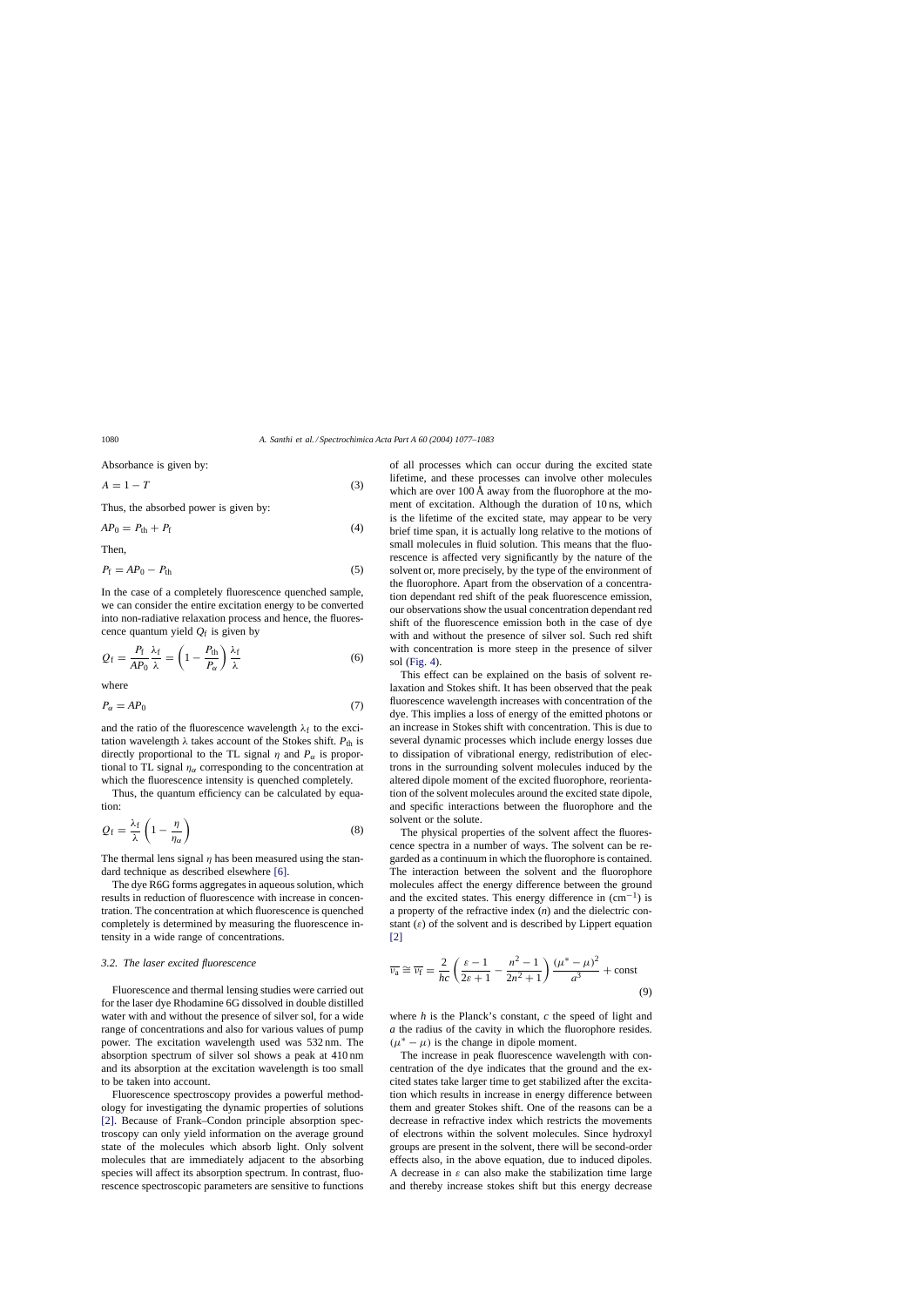<span id="page-3-0"></span>Absorbance is given by:

$$
A = 1 - T \tag{3}
$$

Thus, the absorbed power is given by:

$$
AP_0 = P_{\text{th}} + P_{\text{f}} \tag{4}
$$

Then,

$$
P_{\rm f} = AP_0 - P_{\rm th} \tag{5}
$$

In the case of a completely fluorescence quenched sample, we can consider the entire excitation energy to be converted into non-radiative relaxation process and hence, the fluorescence quantum yield  $Q_f$  is given by

$$
Q_{\rm f} = \frac{P_{\rm f}}{AP_0} \frac{\lambda_{\rm f}}{\lambda} = \left(1 - \frac{P_{\rm th}}{P_{\alpha}}\right) \frac{\lambda_{\rm f}}{\lambda} \tag{6}
$$

where

$$
P_{\alpha} = AP_0 \tag{7}
$$

and the ratio of the fluorescence wavelength  $\lambda_f$  to the excitation wavelength  $\lambda$  takes account of the Stokes shift.  $P_{\text{th}}$  is directly proportional to the TL signal  $\eta$  and  $P_\alpha$  is proportional to TL signal  $\eta_{\alpha}$  corresponding to the concentration at which the fluorescence intensity is quenched completely.

Thus, the quantum efficiency can be calculated by equation:

$$
Q_{\rm f} = \frac{\lambda_{\rm f}}{\lambda} \left( 1 - \frac{\eta}{\eta_{\alpha}} \right) \tag{8}
$$

The thermal lens signal  $\eta$  has been measured using the standard technique as described elsewhere [\[6\].](#page-6-0)

The dye R6G forms aggregates in aqueous solution, which results in reduction of fluorescence with increase in concentration. The concentration at which fluorescence is quenched completely is determined by measuring the fluorescence intensity in a wide range of concentrations.

## *3.2. The laser excited fluorescence*

Fluorescence and thermal lensing studies were carried out for the laser dye Rhodamine 6G dissolved in double distilled water with and without the presence of silver sol, for a wide range of concentrations and also for various values of pump power. The excitation wavelength used was 532 nm. The absorption spectrum of silver sol shows a peak at 410 nm and its absorption at the excitation wavelength is too small to be taken into account.

Fluorescence spectroscopy provides a powerful methodology for investigating the dynamic properties of solutions [\[2\].](#page-6-0) Because of Frank–Condon principle absorption spectroscopy can only yield information on the average ground state of the molecules which absorb light. Only solvent molecules that are immediately adjacent to the absorbing species will affect its absorption spectrum. In contrast, fluorescence spectroscopic parameters are sensitive to functions of all processes which can occur during the excited state lifetime, and these processes can involve other molecules which are over 100 Å away from the fluorophore at the moment of excitation. Although the duration of 10 ns, which is the lifetime of the excited state, may appear to be very brief time span, it is actually long relative to the motions of small molecules in fluid solution. This means that the fluorescence is affected very significantly by the nature of the solvent or, more precisely, by the type of the environment of the fluorophore. Apart from the observation of a concentration dependant red shift of the peak fluorescence emission, our observations show the usual concentration dependant red shift of the fluorescence emission both in the case of dye with and without the presence of silver sol. Such red shift with concentration is more steep in the presence of silver sol [\(Fig. 4\).](#page-4-0)

This effect can be explained on the basis of solvent relaxation and Stokes shift. It has been observed that the peak fluorescence wavelength increases with concentration of the dye. This implies a loss of energy of the emitted photons or an increase in Stokes shift with concentration. This is due to several dynamic processes which include energy losses due to dissipation of vibrational energy, redistribution of electrons in the surrounding solvent molecules induced by the altered dipole moment of the excited fluorophore, reorientation of the solvent molecules around the excited state dipole, and specific interactions between the fluorophore and the solvent or the solute.

The physical properties of the solvent affect the fluorescence spectra in a number of ways. The solvent can be regarded as a continuum in which the fluorophore is contained. The interaction between the solvent and the fluorophore molecules affect the energy difference between the ground and the excited states. This energy difference in  $\text{cm}^{-1}$ ) is a property of the refractive index (*n*) and the dielectric constant  $(\varepsilon)$  of the solvent and is described by Lippert equation [\[2\]](#page-6-0)

$$
\overline{\nu_{\rm a}} \cong \overline{\nu_{\rm f}} = \frac{2}{hc} \left( \frac{\varepsilon - 1}{2\varepsilon + 1} - \frac{n^2 - 1}{2n^2 + 1} \right) \frac{(\mu^* - \mu)^2}{a^3} + \text{const}
$$
\n(9)

where *h* is the Planck's constant, *c* the speed of light and *a* the radius of the cavity in which the fluorophore resides.  $(\mu^* - \mu)$  is the change in dipole moment.

The increase in peak fluorescence wavelength with concentration of the dye indicates that the ground and the excited states take larger time to get stabilized after the excitation which results in increase in energy difference between them and greater Stokes shift. One of the reasons can be a decrease in refractive index which restricts the movements of electrons within the solvent molecules. Since hydroxyl groups are present in the solvent, there will be second-order effects also, in the above equation, due to induced dipoles. A decrease in  $\varepsilon$  can also make the stabilization time large and thereby increase stokes shift but this energy decrease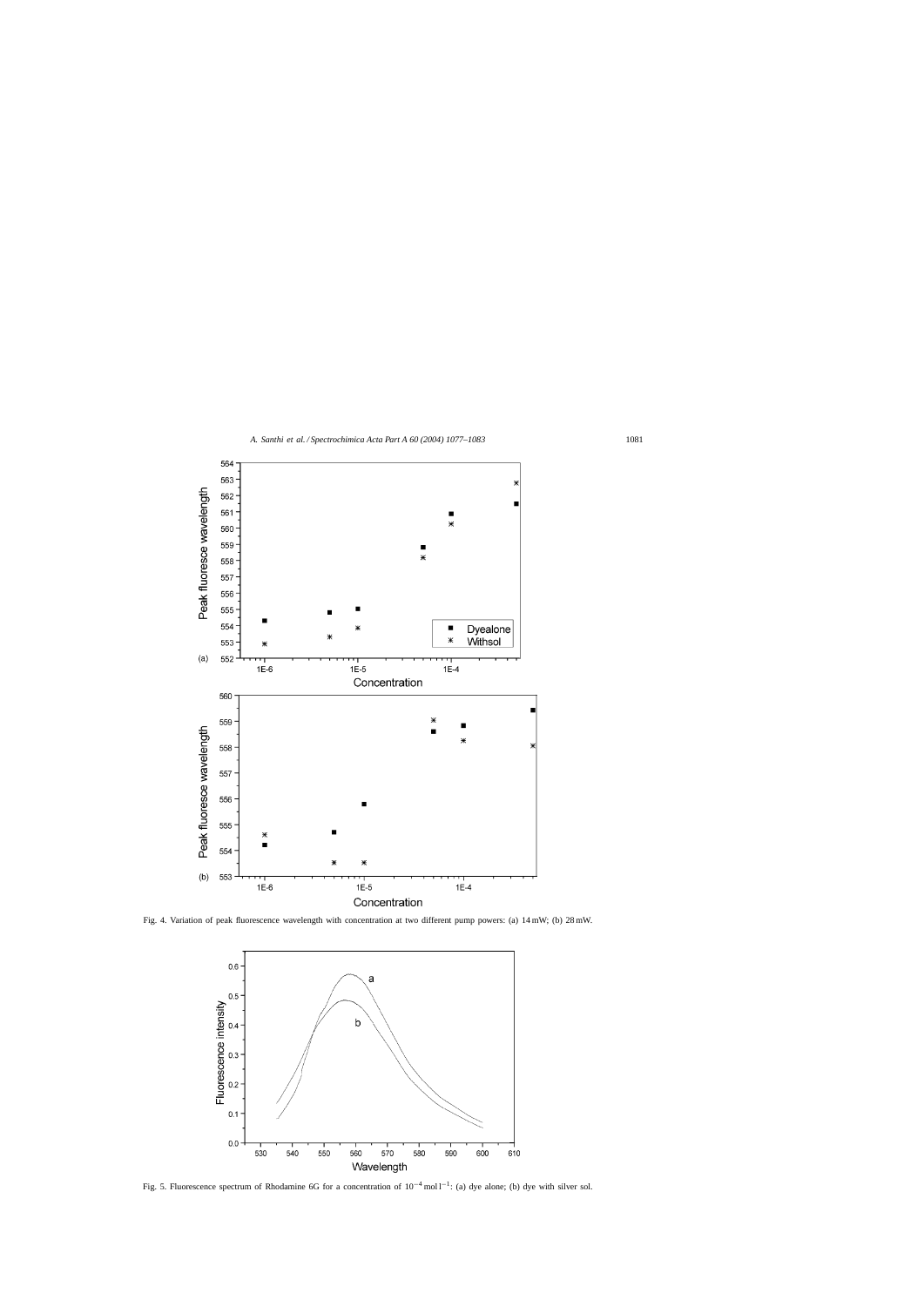<span id="page-4-0"></span>

Fig. 4. Variation of peak fluorescence wavelength with concentration at two different pump powers: (a) 14 mW; (b) 28 mW.



Fig. 5. Fluorescence spectrum of Rhodamine 6G for a concentration of  $10^{-4}$  mol l<sup>-1</sup>: (a) dye alone; (b) dye with silver sol.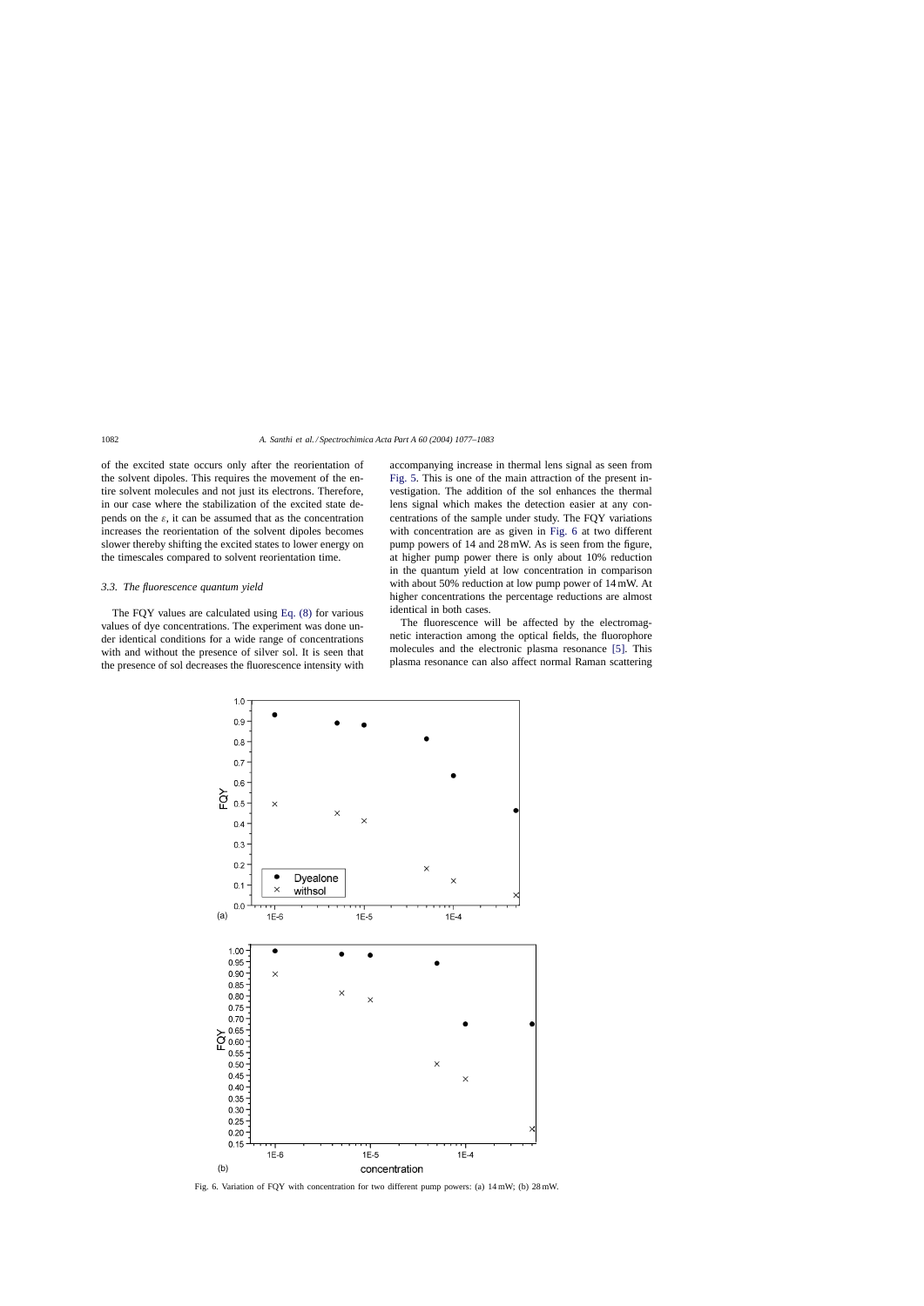of the excited state occurs only after the reorientation of the solvent dipoles. This requires the movement of the entire solvent molecules and not just its electrons. Therefore, in our case where the stabilization of the excited state depends on the  $\varepsilon$ , it can be assumed that as the concentration increases the reorientation of the solvent dipoles becomes slower thereby shifting the excited states to lower energy on the timescales compared to solvent reorientation time.

#### *3.3. The fluorescence quantum yield*

The FQY values are calculated using [Eq. \(8\)](#page-3-0) for various values of dye concentrations. The experiment was done under identical conditions for a wide range of concentrations with and without the presence of silver sol. It is seen that the presence of sol decreases the fluorescence intensity with accompanying increase in thermal lens signal as seen from [Fig. 5.](#page-4-0) This is one of the main attraction of the present investigation. The addition of the sol enhances the thermal lens signal which makes the detection easier at any concentrations of the sample under study. The FQY variations with concentration are as given in Fig. 6 at two different pump powers of 14 and 28 mW. As is seen from the figure, at higher pump power there is only about 10% reduction in the quantum yield at low concentration in comparison with about 50% reduction at low pump power of 14 mW. At higher concentrations the percentage reductions are almost identical in both cases.

The fluorescence will be affected by the electromagnetic interaction among the optical fields, the fluorophore molecules and the electronic plasma resonance [\[5\].](#page-6-0) This plasma resonance can also affect normal Raman scattering



Fig. 6. Variation of FQY with concentration for two different pump powers: (a) 14 mW; (b) 28 mW.